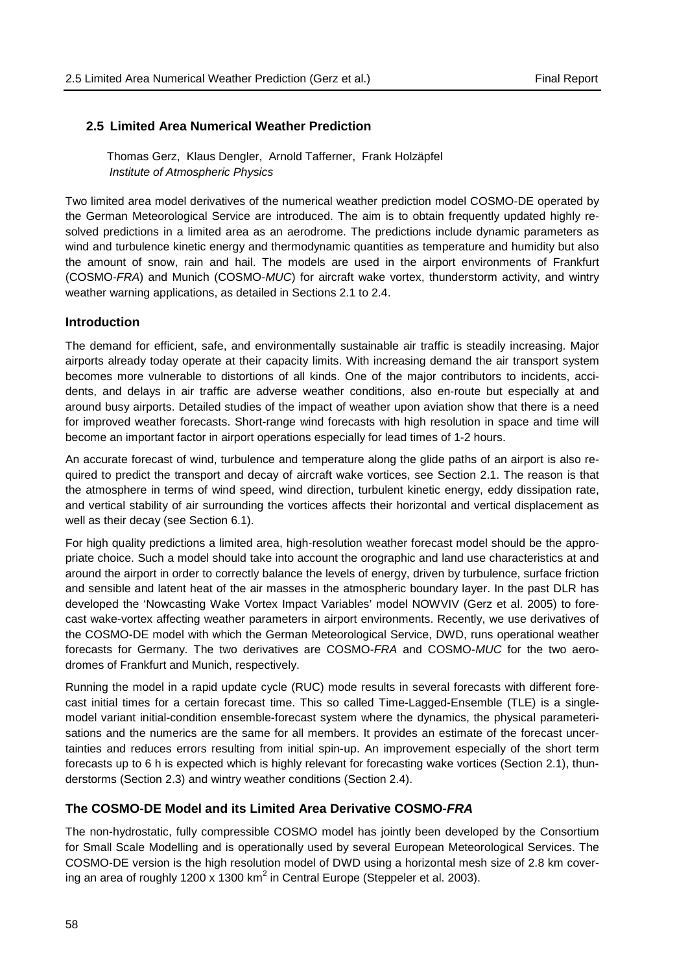#### **2.5 Limited Area Numerical Weather Prediction**

Thomas Gerz, Klaus Dengler, Arnold Tafferner, Frank Holzäpfel *Institute of Atmospheric Physics*

Two limited area model derivatives of the numerical weather prediction model COSMO-DE operated by the German Meteorological Service are introduced. The aim is to obtain frequently updated highly resolved predictions in a limited area as an aerodrome. The predictions include dynamic parameters as wind and turbulence kinetic energy and thermodynamic quantities as temperature and humidity but also the amount of snow, rain and hail. The models are used in the airport environments of Frankfurt (COSMO-*FRA*) and Munich (COSMO-*MUC*) for aircraft wake vortex, thunderstorm activity, and wintry weather warning applications, as detailed in Sections 2.1 to 2.4.

### **Introduction**

The demand for efficient, safe, and environmentally sustainable air traffic is steadily increasing. Major airports already today operate at their capacity limits. With increasing demand the air transport system becomes more vulnerable to distortions of all kinds. One of the major contributors to incidents, accidents, and delays in air traffic are adverse weather conditions, also en-route but especially at and around busy airports. Detailed studies of the impact of weather upon aviation show that there is a need for improved weather forecasts. Short-range wind forecasts with high resolution in space and time will become an important factor in airport operations especially for lead times of 1-2 hours.

An accurate forecast of wind, turbulence and temperature along the glide paths of an airport is also required to predict the transport and decay of aircraft wake vortices, see Section 2.1. The reason is that the atmosphere in terms of wind speed, wind direction, turbulent kinetic energy, eddy dissipation rate, and vertical stability of air surrounding the vortices affects their horizontal and vertical displacement as well as their decay (see Section 6.1).

For high quality predictions a limited area, high-resolution weather forecast model should be the appropriate choice. Such a model should take into account the orographic and land use characteristics at and around the airport in order to correctly balance the levels of energy, driven by turbulence, surface friction and sensible and latent heat of the air masses in the atmospheric boundary layer. In the past DLR has developed the 'Nowcasting Wake Vortex Impact Variables' model NOWVIV (Gerz et al. 2005) to forecast wake-vortex affecting weather parameters in airport environments. Recently, we use derivatives of the COSMO-DE model with which the German Meteorological Service, DWD, runs operational weather forecasts for Germany. The two derivatives are COSMO-*FRA* and COSMO-*MUC* for the two aerodromes of Frankfurt and Munich, respectively.

Running the model in a rapid update cycle (RUC) mode results in several forecasts with different forecast initial times for a certain forecast time. This so called Time-Lagged-Ensemble (TLE) is a singlemodel variant initial-condition ensemble-forecast system where the dynamics, the physical parameterisations and the numerics are the same for all members. It provides an estimate of the forecast uncertainties and reduces errors resulting from initial spin-up. An improvement especially of the short term forecasts up to 6 h is expected which is highly relevant for forecasting wake vortices (Section 2.1), thunderstorms (Section 2.3) and wintry weather conditions (Section 2.4).

# **The COSMO-DE Model and its Limited Area Derivative COSMO-***FRA*

The non-hydrostatic, fully compressible COSMO model has jointly been developed by the Consortium for Small Scale Modelling and is operationally used by several European Meteorological Services. The COSMO-DE version is the high resolution model of DWD using a horizontal mesh size of 2.8 km covering an area of roughly 1200 x 1300  $km^2$  in Central Europe (Steppeler et al. 2003).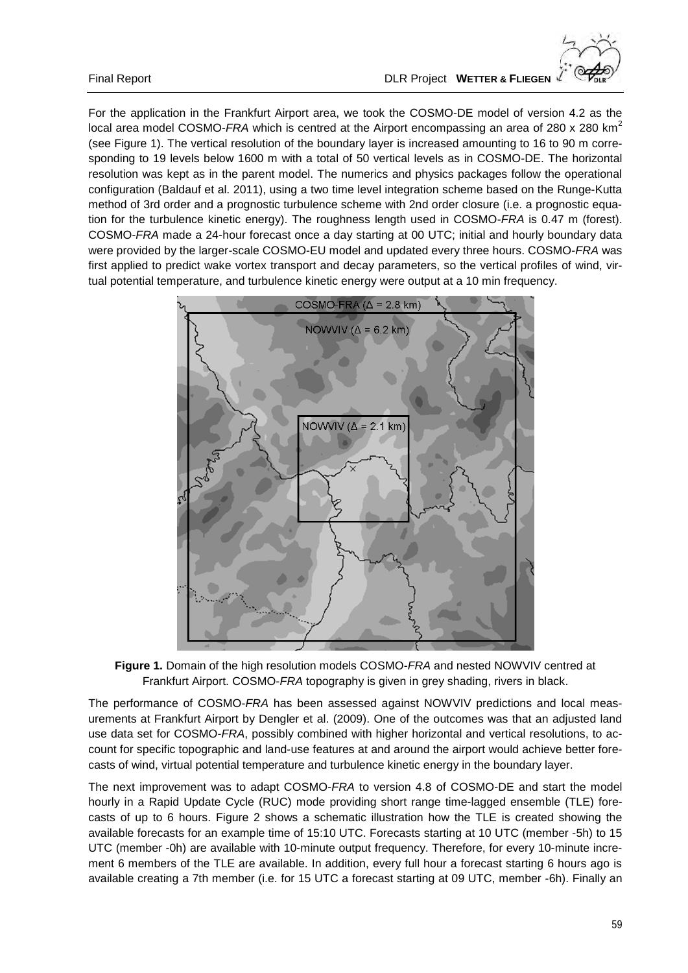For the application in the Frankfurt Airport area, we took the COSMO-DE model of version 4.2 as the local area model COSMO-*FRA* which is centred at the Airport encompassing an area of 280 x 280 km<sup>2</sup> (see Figure 1). The vertical resolution of the boundary layer is increased amounting to 16 to 90 m corresponding to 19 levels below 1600 m with a total of 50 vertical levels as in COSMO-DE. The horizontal resolution was kept as in the parent model. The numerics and physics packages follow the operational configuration (Baldauf et al. 2011), using a two time level integration scheme based on the Runge-Kutta method of 3rd order and a prognostic turbulence scheme with 2nd order closure (i.e. a prognostic equation for the turbulence kinetic energy). The roughness length used in COSMO-*FRA* is 0.47 m (forest). COSMO-*FRA* made a 24-hour forecast once a day starting at 00 UTC; initial and hourly boundary data were provided by the larger-scale COSMO-EU model and updated every three hours. COSMO-*FRA* was first applied to predict wake vortex transport and decay parameters, so the vertical profiles of wind, virtual potential temperature, and turbulence kinetic energy were output at a 10 min frequency.



**Figure 1.** Domain of the high resolution models COSMO-*FRA* and nested NOWVIV centred at Frankfurt Airport. COSMO-*FRA* topography is given in grey shading, rivers in black.

The performance of COSMO-*FRA* has been assessed against NOWVIV predictions and local measurements at Frankfurt Airport by Dengler et al. (2009). One of the outcomes was that an adjusted land use data set for COSMO-*FRA*, possibly combined with higher horizontal and vertical resolutions, to account for specific topographic and land-use features at and around the airport would achieve better forecasts of wind, virtual potential temperature and turbulence kinetic energy in the boundary layer.

The next improvement was to adapt COSMO-*FRA* to version 4.8 of COSMO-DE and start the model hourly in a Rapid Update Cycle (RUC) mode providing short range time-lagged ensemble (TLE) forecasts of up to 6 hours. Figure 2 shows a schematic illustration how the TLE is created showing the available forecasts for an example time of 15:10 UTC. Forecasts starting at 10 UTC (member -5h) to 15 UTC (member -0h) are available with 10-minute output frequency. Therefore, for every 10-minute increment 6 members of the TLE are available. In addition, every full hour a forecast starting 6 hours ago is available creating a 7th member (i.e. for 15 UTC a forecast starting at 09 UTC, member -6h). Finally an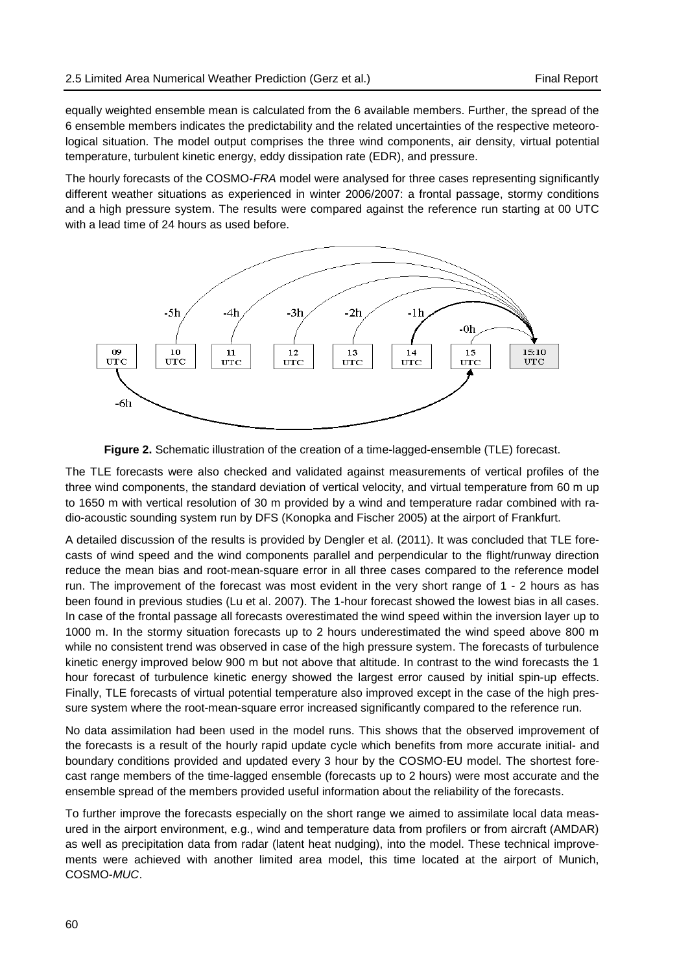equally weighted ensemble mean is calculated from the 6 available members. Further, the spread of the 6 ensemble members indicates the predictability and the related uncertainties of the respective meteorological situation. The model output comprises the three wind components, air density, virtual potential temperature, turbulent kinetic energy, eddy dissipation rate (EDR), and pressure.

The hourly forecasts of the COSMO-*FRA* model were analysed for three cases representing significantly different weather situations as experienced in winter 2006/2007: a frontal passage, stormy conditions and a high pressure system. The results were compared against the reference run starting at 00 UTC with a lead time of 24 hours as used before.



**Figure 2.** Schematic illustration of the creation of a time-lagged-ensemble (TLE) forecast.

The TLE forecasts were also checked and validated against measurements of vertical profiles of the three wind components, the standard deviation of vertical velocity, and virtual temperature from 60 m up to 1650 m with vertical resolution of 30 m provided by a wind and temperature radar combined with radio-acoustic sounding system run by DFS (Konopka and Fischer 2005) at the airport of Frankfurt.

A detailed discussion of the results is provided by Dengler et al. (2011). It was concluded that TLE forecasts of wind speed and the wind components parallel and perpendicular to the flight/runway direction reduce the mean bias and root-mean-square error in all three cases compared to the reference model run. The improvement of the forecast was most evident in the very short range of 1 - 2 hours as has been found in previous studies (Lu et al. 2007). The 1-hour forecast showed the lowest bias in all cases. In case of the frontal passage all forecasts overestimated the wind speed within the inversion layer up to 1000 m. In the stormy situation forecasts up to 2 hours underestimated the wind speed above 800 m while no consistent trend was observed in case of the high pressure system. The forecasts of turbulence kinetic energy improved below 900 m but not above that altitude. In contrast to the wind forecasts the 1 hour forecast of turbulence kinetic energy showed the largest error caused by initial spin-up effects. Finally, TLE forecasts of virtual potential temperature also improved except in the case of the high pressure system where the root-mean-square error increased significantly compared to the reference run.

No data assimilation had been used in the model runs. This shows that the observed improvement of the forecasts is a result of the hourly rapid update cycle which benefits from more accurate initial- and boundary conditions provided and updated every 3 hour by the COSMO-EU model. The shortest forecast range members of the time-lagged ensemble (forecasts up to 2 hours) were most accurate and the ensemble spread of the members provided useful information about the reliability of the forecasts.

To further improve the forecasts especially on the short range we aimed to assimilate local data measured in the airport environment, e.g., wind and temperature data from profilers or from aircraft (AMDAR) as well as precipitation data from radar (latent heat nudging), into the model. These technical improvements were achieved with another limited area model, this time located at the airport of Munich, COSMO-*MUC*.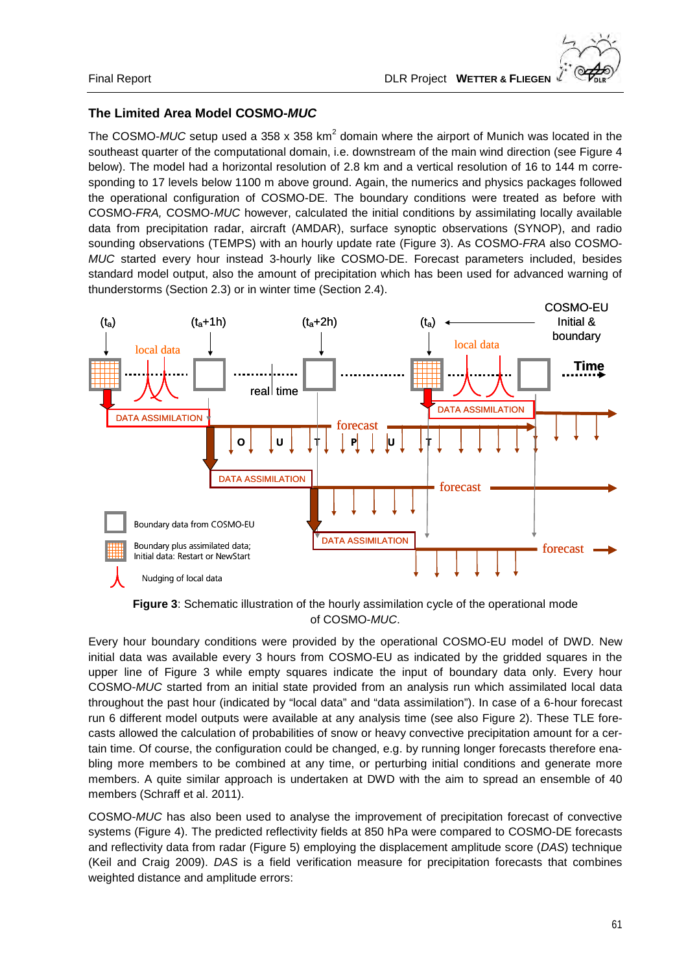# **The Limited Area Model COSMO-***MUC*

The COSMO-MUC setup used a 358 x 358 km<sup>2</sup> domain where the airport of Munich was located in the southeast quarter of the computational domain, i.e. downstream of the main wind direction (see Figure 4 below). The model had a horizontal resolution of 2.8 km and a vertical resolution of 16 to 144 m corresponding to 17 levels below 1100 m above ground. Again, the numerics and physics packages followed the operational configuration of COSMO-DE. The boundary conditions were treated as before with COSMO-*FRA,* COSMO-*MUC* however, calculated the initial conditions by assimilating locally available data from precipitation radar, aircraft (AMDAR), surface synoptic observations (SYNOP), and radio sounding observations (TEMPS) with an hourly update rate (Figure 3). As COSMO-*FRA* also COSMO-*MUC* started every hour instead 3-hourly like COSMO-DE. Forecast parameters included, besides standard model output, also the amount of precipitation which has been used for advanced warning of thunderstorms (Section 2.3) or in winter time (Section 2.4).



**Figure 3**: Schematic illustration of the hourly assimilation cycle of the operational mode of COSMO-*MUC*.

Every hour boundary conditions were provided by the operational COSMO-EU model of DWD. New initial data was available every 3 hours from COSMO-EU as indicated by the gridded squares in the upper line of Figure 3 while empty squares indicate the input of boundary data only. Every hour COSMO-*MUC* started from an initial state provided from an analysis run which assimilated local data throughout the past hour (indicated by "local data" and "data assimilation"). In case of a 6-hour forecast run 6 different model outputs were available at any analysis time (see also Figure 2). These TLE forecasts allowed the calculation of probabilities of snow or heavy convective precipitation amount for a certain time. Of course, the configuration could be changed, e.g. by running longer forecasts therefore enabling more members to be combined at any time, or perturbing initial conditions and generate more members. A quite similar approach is undertaken at DWD with the aim to spread an ensemble of 40 members (Schraff et al. 2011).

COSMO-*MUC* has also been used to analyse the improvement of precipitation forecast of convective systems (Figure 4). The predicted reflectivity fields at 850 hPa were compared to COSMO-DE forecasts and reflectivity data from radar (Figure 5) employing the displacement amplitude score (*DAS*) technique (Keil and Craig 2009). *DAS* is a field verification measure for precipitation forecasts that combines weighted distance and amplitude errors: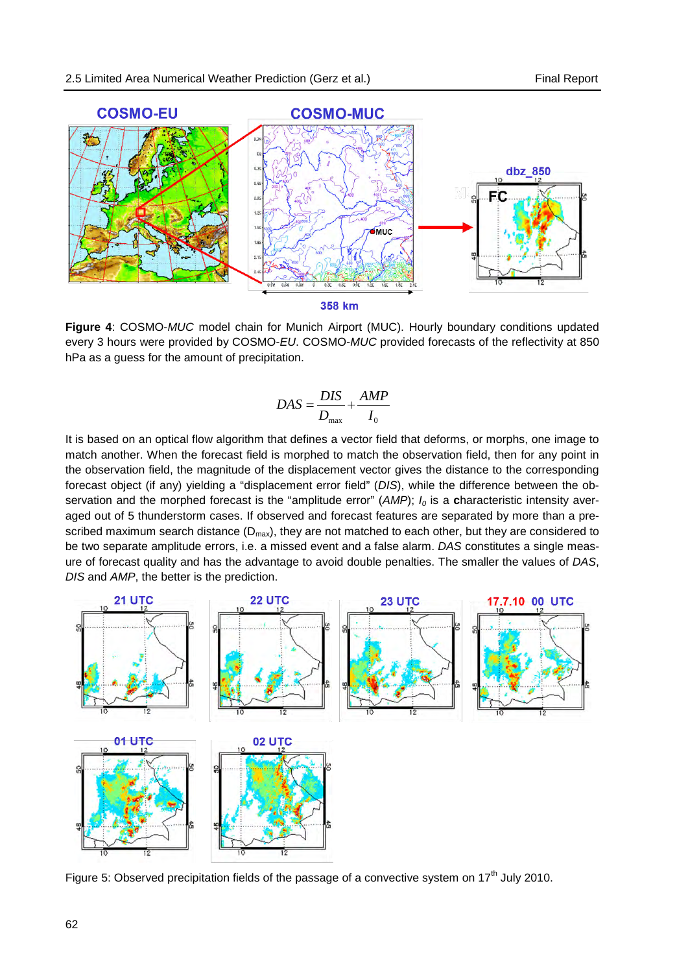

**Figure 4**: COSMO-*MUC* model chain for Munich Airport (MUC). Hourly boundary conditions updated every 3 hours were provided by COSMO-*EU*. COSMO-*MUC* provided forecasts of the reflectivity at 850 hPa as a guess for the amount of precipitation.

$$
DAS = \frac{DIS}{D_{\text{max}}} + \frac{AMP}{I_0}
$$

It is based on an optical flow algorithm that defines a vector field that deforms, or morphs, one image to match another. When the forecast field is morphed to match the observation field, then for any point in the observation field, the magnitude of the displacement vector gives the distance to the corresponding forecast object (if any) yielding a "displacement error field" (*DIS*), while the difference between the observation and the morphed forecast is the "amplitude error" ( $AMP$ );  $I<sub>0</sub>$  is a **c**haracteristic intensity averaged out of 5 thunderstorm cases. If observed and forecast features are separated by more than a prescribed maximum search distance  $(D_{max})$ , they are not matched to each other, but they are considered to be two separate amplitude errors, i.e. a missed event and a false alarm. *DAS* constitutes a single measure of forecast quality and has the advantage to avoid double penalties. The smaller the values of *DAS*, *DIS* and *AMP*, the better is the prediction.



Figure 5: Observed precipitation fields of the passage of a convective system on  $17<sup>th</sup>$  July 2010.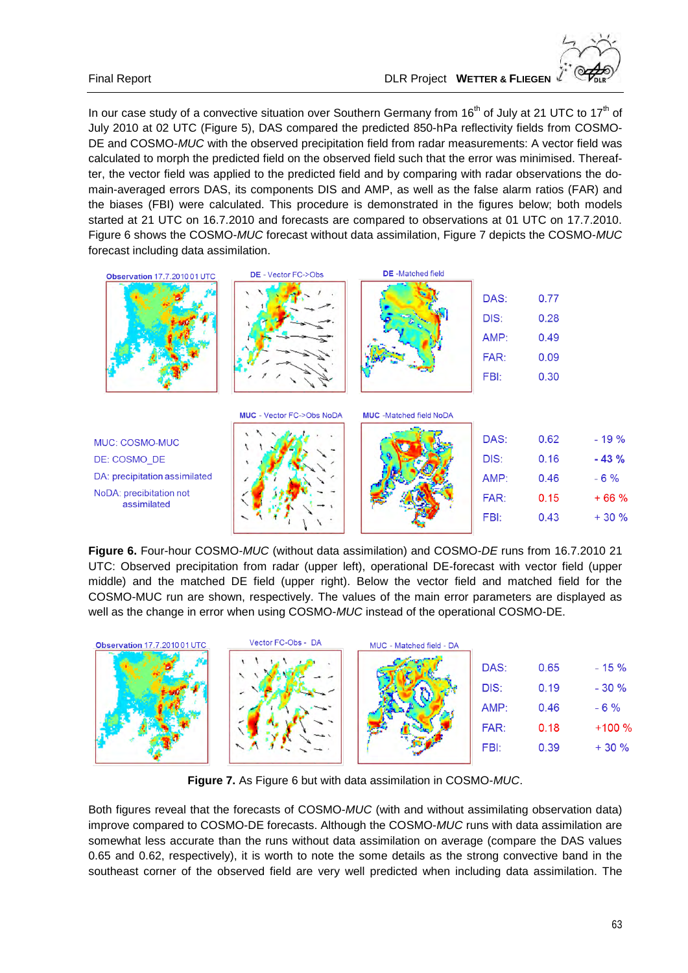In our case study of a convective situation over Southern Germany from  $16<sup>th</sup>$  of July at 21 UTC to  $17<sup>th</sup>$  of July 2010 at 02 UTC (Figure 5), DAS compared the predicted 850-hPa reflectivity fields from COSMO-DE and COSMO-*MUC* with the observed precipitation field from radar measurements: A vector field was calculated to morph the predicted field on the observed field such that the error was minimised. Thereafter, the vector field was applied to the predicted field and by comparing with radar observations the domain-averaged errors DAS, its components DIS and AMP, as well as the false alarm ratios (FAR) and the biases (FBI) were calculated. This procedure is demonstrated in the figures below; both models started at 21 UTC on 16.7.2010 and forecasts are compared to observations at 01 UTC on 17.7.2010. Figure 6 shows the COSMO-*MUC* forecast without data assimilation, Figure 7 depicts the COSMO-*MUC* forecast including data assimilation.



DE: COSMO\_DE DA: precipitation assimilated NoDA: precibitation not assimilated





| DAS: | 0.62 | $-19%$ |
|------|------|--------|
| DIS: | 0.16 | $-43%$ |
| AMP: | 0.46 | $-6%$  |
| FAR: | 0.15 | $+66%$ |
| FBI: | 0.43 | $+30%$ |
|      |      |        |

**Figure 6.** Four-hour COSMO-*MUC* (without data assimilation) and COSMO*-DE* runs from 16.7.2010 21 UTC: Observed precipitation from radar (upper left), operational DE-forecast with vector field (upper middle) and the matched DE field (upper right). Below the vector field and matched field for the COSMO-MUC run are shown, respectively. The values of the main error parameters are displayed as well as the change in error when using COSMO-*MUC* instead of the operational COSMO-DE.



**Figure 7.** As Figure 6 but with data assimilation in COSMO-*MUC*.

Both figures reveal that the forecasts of COSMO-*MUC* (with and without assimilating observation data) improve compared to COSMO-DE forecasts. Although the COSMO-*MUC* runs with data assimilation are somewhat less accurate than the runs without data assimilation on average (compare the DAS values 0.65 and 0.62, respectively), it is worth to note the some details as the strong convective band in the southeast corner of the observed field are very well predicted when including data assimilation. The